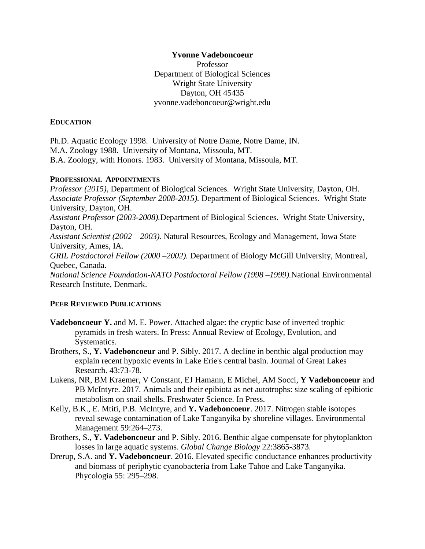## **Yvonne Vadeboncoeur**

Professor Department of Biological Sciences Wright State University Dayton, OH 45435 yvonne.vadeboncoeur@wright.edu

## **EDUCATION**

Ph.D. Aquatic Ecology 1998. University of Notre Dame, Notre Dame, IN. M.A. Zoology 1988. University of Montana, Missoula, MT. B.A. Zoology, with Honors. 1983. University of Montana, Missoula, MT.

## **PROFESSIONAL APPOINTMENTS**

*Professor (2015),* Department of Biological Sciences. Wright State University, Dayton, OH. *Associate Professor (September 2008-2015).* Department of Biological Sciences. Wright State University, Dayton, OH. *Assistant Professor (2003-2008).*Department of Biological Sciences. Wright State University, Dayton, OH. *Assistant Scientist (2002 – 2003).* Natural Resources, Ecology and Management, Iowa State University, Ames, IA. *GRIL Postdoctoral Fellow (2000 –2002).* Department of Biology McGill University, Montreal, Quebec, Canada. *National Science Foundation-NATO Postdoctoral Fellow (1998 –1999).*National Environmental Research Institute, Denmark.

# **PEER REVIEWED PUBLICATIONS**

- **Vadeboncoeur Y.** and M. E. Power. Attached algae: the cryptic base of inverted trophic pyramids in fresh waters. In Press: Annual Review of Ecology, Evolution, and Systematics.
- Brothers, S., **Y. Vadeboncoeur** and P. Sibly. 2017. A decline in benthic algal production may explain recent hypoxic events in Lake Erie's central basin. Journal of Great Lakes Research. 43:73-78.
- Lukens, NR, BM Kraemer, V Constant, EJ Hamann, E Michel, AM Socci, **Y Vadeboncoeur** and PB McIntyre. 2017. Animals and their epibiota as net autotrophs: size scaling of epibiotic metabolism on snail shells. Freshwater Science. In Press.
- Kelly, B.K., E. Mtiti, P.B. McIntyre, and **Y. Vadeboncoeur**. 2017. Nitrogen stable isotopes reveal sewage contamination of Lake Tanganyika by shoreline villages. Environmental Management 59:264–273.
- Brothers, S., **Y. Vadeboncoeur** and P. Sibly. 2016. Benthic algae compensate for phytoplankton losses in large aquatic systems. *Global Change Biology* 22:3865-3873.
- Drerup, S.A. and **Y. Vadeboncoeur**. 2016. Elevated specific conductance enhances productivity and biomass of periphytic cyanobacteria from Lake Tahoe and Lake Tanganyika. Phycologia 55: 295–298.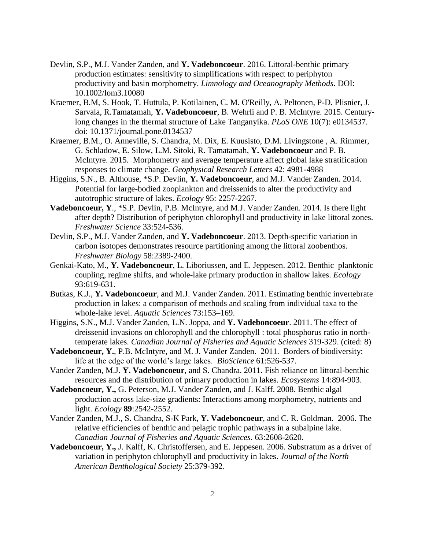- Devlin, S.P., M.J. Vander Zanden, and **Y. Vadeboncoeur**. 2016. Littoral-benthic primary production estimates: sensitivity to simplifications with respect to periphyton productivity and basin morphometry. *Limnology and Oceanography Methods*. DOI: 10.1002/lom3.10080
- Kraemer, B.M, S. Hook, T. Huttula, P. Kotilainen, C. M. O'Reilly, A. Peltonen, P-D. Plisnier, J. Sarvala, R.Tamatamah, **Y. Vadeboncoeur**, B. Wehrli and P. B. McIntyre. 2015. Centurylong changes in the thermal structure of Lake Tanganyika. *PLoS ONE* 10(7): e0134537. doi: 10.1371/journal.pone.0134537
- Kraemer, B.M., O. Anneville, S. Chandra, M. Dix, E. Kuusisto, D.M. Livingstone , A. Rimmer, G. Schladow, E. Silow, L.M. Sitoki, R. Tamatamah, **Y. Vadeboncoeur** and P. B. McIntyre. 2015. Morphometry and average temperature affect global lake stratification responses to climate change. *Geophysical Research Letters* 42: 4981-4988
- Higgins, S.N., B. Althouse, \*S.P. Devlin, **Y. Vadeboncoeur**, and M.J. Vander Zanden. 2014. Potential for large-bodied zooplankton and dreissenids to alter the productivity and autotrophic structure of lakes. *Ecology* 95: 2257-2267.
- **Vadeboncoeur, Y**., \*S.P. Devlin, P.B. McIntyre, and M.J. Vander Zanden. 2014. Is there light after depth? Distribution of periphyton chlorophyll and productivity in lake littoral zones. *Freshwater Science* 33:524-536.
- Devlin, S.P., M.J. Vander Zanden, and **Y. Vadeboncoeur**. 2013. Depth-specific variation in carbon isotopes demonstrates resource partitioning among the littoral zoobenthos. *Freshwater Biology* 58:2389-2400.
- Genkai-Kato, M., **Y. Vadeboncoeur**, L. Liboriussen, and E. Jeppesen. 2012. Benthic–planktonic coupling, regime shifts, and whole-lake primary production in shallow lakes. *Ecology* 93:619-631.
- Butkas, K.J., **Y. Vadeboncoeur**, and M.J. Vander Zanden. 2011. Estimating benthic invertebrate production in lakes: a comparison of methods and scaling from individual taxa to the whole-lake level. *Aquatic Sciences* 73:153–169.
- Higgins, S.N., M.J. Vander Zanden, L.N. Joppa, and **Y. Vadeboncoeur**. 2011. The effect of dreissenid invasions on chlorophyll and the chlorophyll : total phosphorus ratio in northtemperate lakes. *Canadian Journal of Fisheries and Aquatic Sciences* 319-329. (cited: 8)
- **Vadeboncoeur, Y.**, P.B. McIntyre, and M. J. Vander Zanden. 2011. Borders of biodiversity: life at the edge of the world's large lakes. *BioScience* 61:526-537.
- Vander Zanden, M.J. **Y. Vadeboncoeur**, and S. Chandra. 2011. Fish reliance on littoral-benthic resources and the distribution of primary production in lakes. *Ecosystems* 14:894-903.
- **Vadeboncoeur, Y.,** G. Peterson, M.J. Vander Zanden, and J. Kalff. 2008. Benthic algal production across lake-size gradients: Interactions among morphometry, nutrients and light. *Ecology* **89**:2542-2552.
- Vander Zanden, M.J., S. Chandra, S-K Park, **Y. Vadeboncoeur**, and C. R. Goldman. 2006. The relative efficiencies of benthic and pelagic trophic pathways in a subalpine lake. *Canadian Journal of Fisheries and Aquatic Sciences*. 63:2608-2620.
- **Vadeboncoeur, Y.,** J. Kalff, K. Christoffersen, and E. Jeppesen. 2006. Substratum as a driver of variation in periphyton chlorophyll and productivity in lakes. *Journal of the North American Benthological Society* 25:379-392.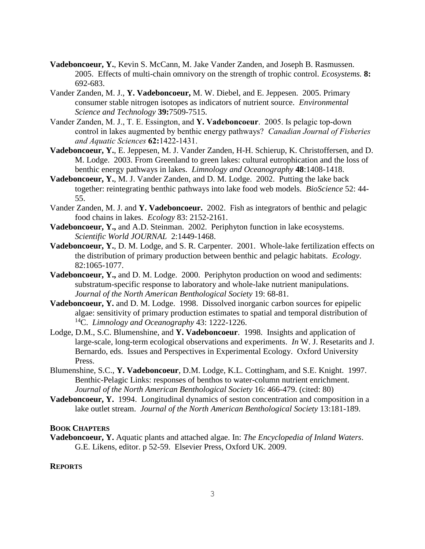- **Vadeboncoeur, Y.**, Kevin S. McCann, M. Jake Vander Zanden, and Joseph B. Rasmussen. 2005. Effects of multi-chain omnivory on the strength of trophic control. *Ecosystems.* **8:** 692-683.
- Vander Zanden, M. J., **Y. Vadeboncoeur,** M. W. Diebel, and E. Jeppesen. 2005. Primary consumer stable nitrogen isotopes as indicators of nutrient source. *Environmental Science and Technology* **39:**7509-7515.
- Vander Zanden, M. J., T. E. Essington, and **Y. Vadeboncoeur**. 2005. Is pelagic top-down control in lakes augmented by benthic energy pathways? *Canadian Journal of Fisheries and Aquatic Sciences* **62:**1422-1431.
- **Vadeboncoeur, Y.**, E. Jeppesen, M. J. Vander Zanden, H-H. Schierup, K. Christoffersen, and D. M. Lodge. 2003. From Greenland to green lakes: cultural eutrophication and the loss of benthic energy pathways in lakes. *Limnology and Oceanography* **48**:1408-1418.
- **Vadeboncoeur, Y.**, M. J. Vander Zanden, and D. M. Lodge. 2002. Putting the lake back together: reintegrating benthic pathways into lake food web models. *BioScience* 52: 44- 55.
- Vander Zanden, M. J. and **Y. Vadeboncoeur.** 2002. Fish as integrators of benthic and pelagic food chains in lakes. *Ecology* 83: 2152-2161.
- **Vadeboncoeur, Y.,** and A.D. Steinman. 2002. Periphyton function in lake ecosystems. *Scientific World JOURNAL* 2:1449-1468.
- **Vadeboncoeur, Y.**, D. M. Lodge, and S. R. Carpenter. 2001. Whole-lake fertilization effects on the distribution of primary production between benthic and pelagic habitats. *Ecology*. 82:1065-1077.
- **Vadeboncoeur, Y.,** and D. M. Lodge. 2000. Periphyton production on wood and sediments: substratum-specific response to laboratory and whole-lake nutrient manipulations. *Journal of the North American Benthological Society* 19: 68-81.
- **Vadeboncoeur, Y.** and D. M. Lodge. 1998. Dissolved inorganic carbon sources for epipelic algae: sensitivity of primary production estimates to spatial and temporal distribution of <sup>14</sup>C. *Limnology and Oceanography* 43: 1222-1226.
- Lodge, D.M., S.C. Blumenshine, and **Y. Vadeboncoeur**. 1998. Insights and application of large-scale, long-term ecological observations and experiments. *In* W. J. Resetarits and J. Bernardo, eds. Issues and Perspectives in Experimental Ecology. Oxford University Press.
- Blumenshine, S.C., **Y. Vadeboncoeur**, D.M. Lodge, K.L. Cottingham, and S.E. Knight. 1997. Benthic-Pelagic Links: responses of benthos to water-column nutrient enrichment. *Journal of the North American Benthological Society* 16: 466-479. (cited: 80)
- **Vadeboncoeur, Y.** 1994. Longitudinal dynamics of seston concentration and composition in a lake outlet stream. *Journal of the North American Benthological Society* 13:181-189.

#### **BOOK CHAPTERS**

**Vadeboncoeur, Y.** Aquatic plants and attached algae. In: *The Encyclopedia of Inland Waters*. G.E. Likens, editor. p 52-59. Elsevier Press, Oxford UK. 2009.

#### **REPORTS**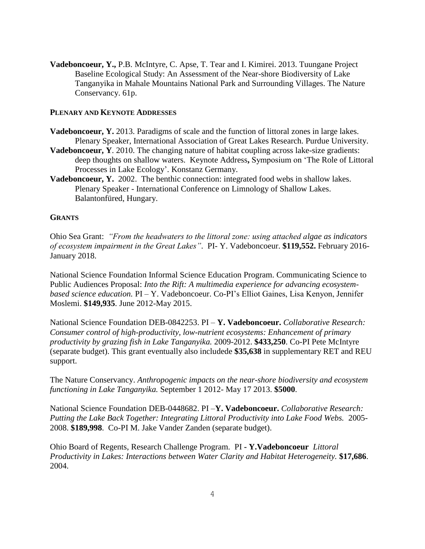**Vadeboncoeur, Y.,** P.B. McIntyre, C. Apse, T. Tear and I. Kimirei. 2013. Tuungane Project Baseline Ecological Study: An Assessment of the Near-shore Biodiversity of Lake Tanganyika in Mahale Mountains National Park and Surrounding Villages. The Nature Conservancy. 61p.

## **PLENARY AND KEYNOTE ADDRESSES**

- **Vadeboncoeur, Y.** 2013. Paradigms of scale and the function of littoral zones in large lakes. Plenary Speaker, International Association of Great Lakes Research. Purdue University.
- **Vadeboncoeur, Y**. 2010. The changing nature of habitat coupling across lake-size gradients: deep thoughts on shallow waters. Keynote Address**,** Symposium on 'The Role of Littoral Processes in Lake Ecology'. Konstanz Germany.
- **Vadeboncoeur, Y.** 2002. The benthic connection: integrated food webs in shallow lakes. Plenary Speaker - International Conference on Limnology of Shallow Lakes. Balantonfüred, Hungary.

### **GRANTS**

Ohio Sea Grant: *"From the headwaters to the littoral zone: using attached algae as indicators of ecosystem impairment in the Great Lakes"*. PI- Y. Vadeboncoeur. **\$119,552.** February 2016- January 2018.

National Science Foundation Informal Science Education Program. Communicating Science to Public Audiences Proposal: *Into the Rift: A multimedia experience for advancing ecosystembased science education.* PI – Y. Vadeboncoeur. Co-PI's Elliot Gaines, Lisa Kenyon, Jennifer Moslemi. **\$149,935**. June 2012-May 2015.

National Science Foundation DEB-0842253. PI – **Y. Vadeboncoeur.** *Collaborative Research: Consumer control of high-productivity, low-nutrient ecosystems: Enhancement of primary productivity by grazing fish in Lake Tanganyika.* 2009-2012. **\$433,250**. Co-PI Pete McIntyre (separate budget). This grant eventually also includede **\$35,638** in supplementary RET and REU support.

The Nature Conservancy. *Anthropogenic impacts on the near-shore biodiversity and ecosystem functioning in Lake Tanganyika.* September 1 2012- May 17 2013. **\$5000**.

National Science Foundation DEB-0448682. PI –**Y. Vadeboncoeur.** *Collaborative Research: Putting the Lake Back Together: Integrating Littoral Productivity into Lake Food Webs.* 2005- 2008. **\$189,998**. Co-PI M. Jake Vander Zanden (separate budget).

Ohio Board of Regents, Research Challenge Program. PI **- Y.Vadeboncoeur** *Littoral Productivity in Lakes: Interactions between Water Clarity and Habitat Heterogeneity.* **\$17,686**. 2004.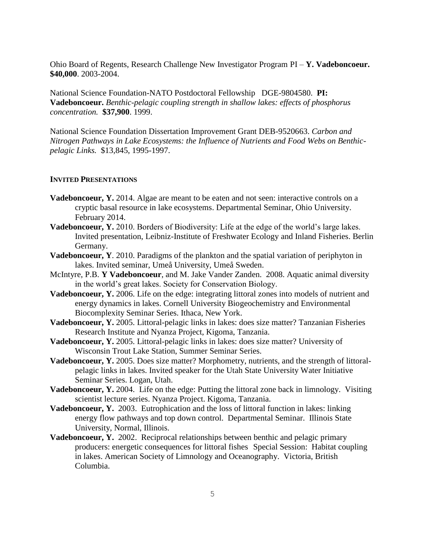Ohio Board of Regents, Research Challenge New Investigator Program PI – **Y. Vadeboncoeur. \$40,000**. 2003-2004.

National Science Foundation-NATO Postdoctoral Fellowship DGE-9804580. **PI: Vadeboncoeur.** *Benthic-pelagic coupling strength in shallow lakes: effects of phosphorus concentration.* **\$37,900**. 1999.

National Science Foundation Dissertation Improvement Grant DEB-9520663. *Carbon and Nitrogen Pathways in Lake Ecosystems: the Influence of Nutrients and Food Webs on Benthicpelagic Links.* \$13,845, 1995-1997.

## **INVITED PRESENTATIONS**

- **Vadeboncoeur, Y.** 2014. Algae are meant to be eaten and not seen: interactive controls on a cryptic basal resource in lake ecosystems. Departmental Seminar, Ohio University. February 2014.
- **Vadeboncoeur, Y.** 2010. Borders of Biodiversity: Life at the edge of the world's large lakes. Invited presentation, Leibniz-Institute of Freshwater Ecology and Inland Fisheries. Berlin Germany.
- **Vadeboncoeur, Y**. 2010. Paradigms of the plankton and the spatial variation of periphyton in lakes. Invited seminar, Umeå University, Umeå Sweden.
- McIntyre, P.B. **Y Vadeboncoeur**, and M. Jake Vander Zanden. 2008. Aquatic animal diversity in the world's great lakes. Society for Conservation Biology.
- Vadeboncoeur, Y. 2006. Life on the edge: integrating littoral zones into models of nutrient and energy dynamics in lakes. Cornell University Biogeochemistry and Environmental Biocomplexity Seminar Series. Ithaca, New York.
- **Vadeboncoeur, Y.** 2005. Littoral-pelagic links in lakes: does size matter? Tanzanian Fisheries Research Institute and Nyanza Project, Kigoma, Tanzania.
- **Vadeboncoeur, Y.** 2005. Littoral-pelagic links in lakes: does size matter? University of Wisconsin Trout Lake Station, Summer Seminar Series.
- **Vadeboncoeur, Y.** 2005. Does size matter? Morphometry, nutrients, and the strength of littoralpelagic links in lakes. Invited speaker for the Utah State University Water Initiative Seminar Series. Logan, Utah.
- **Vadeboncoeur, Y.** 2004. Life on the edge: Putting the littoral zone back in limnology. Visiting scientist lecture series. Nyanza Project. Kigoma, Tanzania.
- **Vadeboncoeur, Y.** 2003. Eutrophication and the loss of littoral function in lakes: linking energy flow pathways and top down control. Departmental Seminar. Illinois State University, Normal, Illinois.
- **Vadeboncoeur, Y.** 2002. Reciprocal relationships between benthic and pelagic primary producers: energetic consequences for littoral fishes Special Session: Habitat coupling in lakes. American Society of Limnology and Oceanography. Victoria, British Columbia.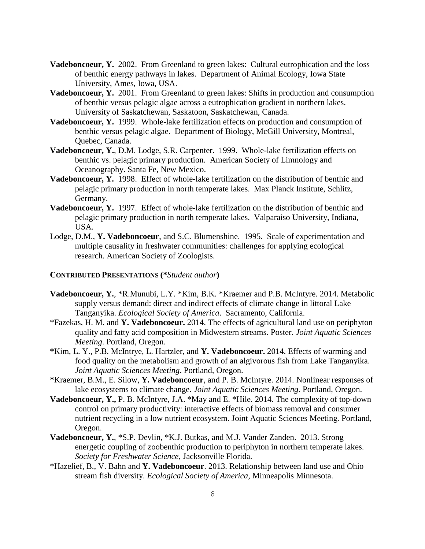- Vadeboncoeur, Y. 2002. From Greenland to green lakes: Cultural eutrophication and the loss of benthic energy pathways in lakes. Department of Animal Ecology, Iowa State University, Ames, Iowa, USA.
- **Vadeboncoeur, Y.** 2001. From Greenland to green lakes: Shifts in production and consumption of benthic versus pelagic algae across a eutrophication gradient in northern lakes. University of Saskatchewan, Saskatoon, Saskatchewan, Canada.
- **Vadeboncoeur, Y.** 1999. Whole-lake fertilization effects on production and consumption of benthic versus pelagic algae. Department of Biology, McGill University, Montreal, Quebec, Canada.
- **Vadeboncoeur, Y.**, D.M. Lodge, S.R. Carpenter. 1999. Whole-lake fertilization effects on benthic vs. pelagic primary production. American Society of Limnology and Oceanography. Santa Fe, New Mexico.
- **Vadeboncoeur, Y.** 1998. Effect of whole-lake fertilization on the distribution of benthic and pelagic primary production in north temperate lakes. Max Planck Institute, Schlitz, Germany.
- **Vadeboncoeur, Y.** 1997. Effect of whole-lake fertilization on the distribution of benthic and pelagic primary production in north temperate lakes. Valparaiso University, Indiana, USA.
- Lodge, D.M., **Y. Vadeboncoeur**, and S.C. Blumenshine. 1995. Scale of experimentation and multiple causality in freshwater communities: challenges for applying ecological research. American Society of Zoologists.

### **CONTRIBUTED PRESENTATIONS (\****Student author***)**

- **Vadeboncoeur, Y.**, \*R.Munubi, L.Y. \*Kim, B.K. \*Kraemer and P.B. McIntyre. 2014. Metabolic supply versus demand: direct and indirect effects of climate change in littoral Lake Tanganyika. *Ecological Society of America*. Sacramento, California.
- \*Fazekas, H. M. and **Y. Vadeboncoeur.** 2014. The effects of agricultural land use on periphyton quality and fatty acid composition in Midwestern streams. Poster. *Joint Aquatic Sciences Meeting*. Portland, Oregon.
- **\***Kim, L. Y., P.B. McIntrye, L. Hartzler, and **Y. Vadeboncoeur.** 2014. Effects of warming and food quality on the metabolism and growth of an algivorous fish from Lake Tanganyika. *Joint Aquatic Sciences Meeting*. Portland, Oregon.
- **\***Kraemer, B.M., E. Silow, **Y. Vadeboncoeur**, and P. B. McIntyre. 2014. Nonlinear responses of lake ecosystems to climate change. *Joint Aquatic Sciences Meeting*. Portland, Oregon.
- **Vadeboncoeur, Y.,** P. B. McIntyre, J.A. \*May and E. \*Hile. 2014. The complexity of top-down control on primary productivity: interactive effects of biomass removal and consumer nutrient recycling in a low nutrient ecosystem. Joint Aquatic Sciences Meeting. Portland, Oregon.
- **Vadeboncoeur, Y.**, \*S.P. Devlin, \*K.J. Butkas, and M.J. Vander Zanden. 2013. Strong energetic coupling of zoobenthic production to periphyton in northern temperate lakes. *Society for Freshwater Science*, Jacksonville Florida.
- \*Hazelief, B., V. Bahn and **Y. Vadeboncoeur**. 2013. Relationship between land use and Ohio stream fish diversity. *Ecological Society of America*, Minneapolis Minnesota.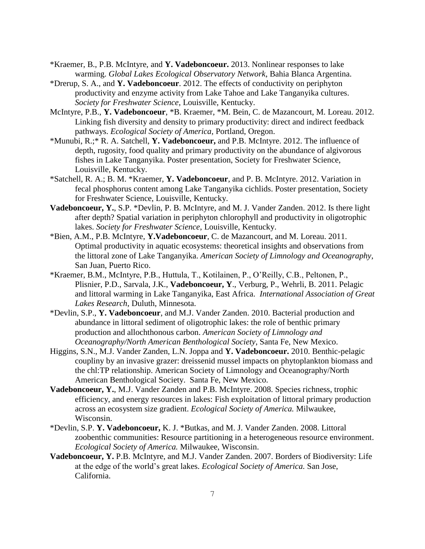- \*Kraemer, B., P.B. McIntyre, and **Y. Vadeboncoeur.** 2013. Nonlinear responses to lake warming. *Global Lakes Ecological Observatory Network*, Bahia Blanca Argentina.
- \*Drerup, S. A., and **Y. Vadeboncoeur**. 2012. The effects of conductivity on periphyton productivity and enzyme activity from Lake Tahoe and Lake Tanganyika cultures. *Society for Freshwater Science*, Louisville, Kentucky.
- McIntyre, P.B., **Y. Vadeboncoeur**, \*B. Kraemer, \*M. Bein, C. de Mazancourt, M. Loreau. 2012. Linking fish diversity and density to primary productivity: direct and indirect feedback pathways. *Ecological Society of America*, Portland, Oregon.
- \*Munubi, R.;\* R. A. Satchell, **Y. Vadeboncoeur,** and P.B. McIntyre. 2012. The influence of depth, rugosity, food quality and primary productivity on the abundance of algivorous fishes in Lake Tanganyika. Poster presentation, Society for Freshwater Science, Louisville, Kentucky.
- \*Satchell, R. A.; B. M. \*Kraemer, **Y. Vadeboncoeur**, and P. B. McIntyre. 2012. Variation in fecal phosphorus content among Lake Tanganyika cichlids. Poster presentation, Society for Freshwater Science, Louisville, Kentucky.
- **Vadeboncoeur, Y.**, S.P. \*Devlin, P. B. McIntyre, and M. J. Vander Zanden. 2012. Is there light after depth? Spatial variation in periphyton chlorophyll and productivity in oligotrophic lakes. *Society for Freshwater Science*, Louisville, Kentucky.
- \*Bien, A.M., P.B. McIntyre, **Y.Vadeboncoeur**, C. de Mazancourt, and M. Loreau. 2011. Optimal productivity in aquatic ecosystems: theoretical insights and observations from the littoral zone of Lake Tanganyika. *American Society of Limnology and Oceanography*, San Juan, Puerto Rico.
- \*Kraemer, B.M., McIntyre, P.B., Huttula, T., Kotilainen, P., O'Reilly, C.B., Peltonen, P., Plisnier, P.D., Sarvala, J.K., **Vadeboncoeur, Y**., Verburg, P., Wehrli, B. 2011. Pelagic and littoral warming in Lake Tanganyika, East Africa. *International Association of Great Lakes Research*, Duluth, Minnesota.
- \*Devlin, S.P., **Y. Vadeboncoeur**, and M.J. Vander Zanden. 2010. Bacterial production and abundance in littoral sediment of oligotrophic lakes: the role of benthic primary production and allochthonous carbon. *American Society of Limnology and Oceanography/North American Benthological Society*, Santa Fe, New Mexico.
- Higgins, S.N., M.J. Vander Zanden, L.N. Joppa and **Y. Vadeboncoeur.** 2010. Benthic-pelagic coupliny by an invasive grazer: dreissenid mussel impacts on phytoplankton biomass and the chl:TP relationship. American Society of Limnology and Oceanography/North American Benthological Society. Santa Fe, New Mexico.
- **Vadeboncoeur, Y.**, M.J. Vander Zanden and P.B. McIntyre. 2008. Species richness, trophic efficiency, and energy resources in lakes: Fish exploitation of littoral primary production across an ecosystem size gradient. *Ecological Society of America.* Milwaukee, Wisconsin.
- \*Devlin, S.P. **Y. Vadeboncoeur,** K. J. \*Butkas, and M. J. Vander Zanden. 2008. Littoral zoobenthic communities: Resource partitioning in a heterogeneous resource environment. *Ecological Society of America.* Milwaukee, Wisconsin.
- **Vadeboncoeur, Y.** P.B. McIntyre, and M.J. Vander Zanden. 2007. Borders of Biodiversity: Life at the edge of the world's great lakes. *Ecological Society of America.* San Jose, California.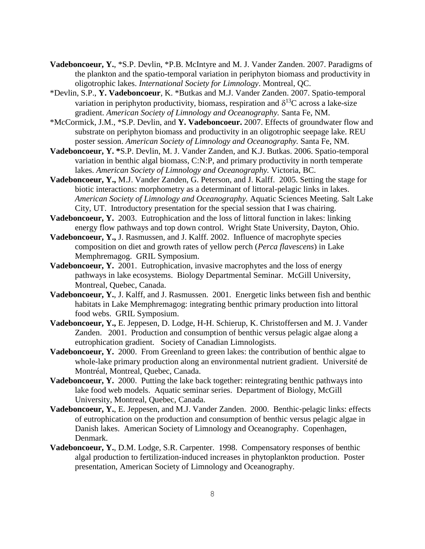- **Vadeboncoeur, Y.**, \*S.P. Devlin, \*P.B. McIntyre and M. J. Vander Zanden. 2007. Paradigms of the plankton and the spatio-temporal variation in periphyton biomass and productivity in oligotrophic lakes. *International Society for Limnology*. Montreal, QC.
- \*Devlin, S.P., **Y. Vadeboncoeur**, K. \*Butkas and M.J. Vander Zanden. 2007. Spatio-temporal variation in periphyton productivity, biomass, respiration and  $\delta^{13}C$  across a lake-size gradient. *American Society of Limnology and Oceanography.* Santa Fe, NM.
- \*McCormick, J.M., \*S.P. Devlin, and **Y. Vadeboncoeur.** 2007. Effects of groundwater flow and substrate on periphyton biomass and productivity in an oligotrophic seepage lake. REU poster session. *American Society of Limnology and Oceanography.* Santa Fe, NM.
- **Vadeboncoeur, Y. \***S.P. Devlin, M. J. Vander Zanden, and K.J. Butkas. 2006. Spatio-temporal variation in benthic algal biomass, C:N:P, and primary productivity in north temperate lakes. *American Society of Limnology and Oceanography.* Victoria, BC.
- **Vadeboncoeur, Y.,** M.J. Vander Zanden, G. Peterson, and J. Kalff. 2005. Setting the stage for biotic interactions: morphometry as a determinant of littoral-pelagic links in lakes. *American Society of Limnology and Oceanography.* Aquatic Sciences Meeting. Salt Lake City, UT. Introductory presentation for the special session that I was chairing.
- **Vadeboncoeur, Y.** 2003. Eutrophication and the loss of littoral function in lakes: linking energy flow pathways and top down control. Wright State University, Dayton, Ohio.
- **Vadeboncoeur, Y.,** J. Rasmussen, and J. Kalff. 2002. Influence of macrophyte species composition on diet and growth rates of yellow perch (*Perca flavescens*) in Lake Memphremagog. GRIL Symposium.
- **Vadeboncoeur, Y.** 2001. Eutrophication, invasive macrophytes and the loss of energy pathways in lake ecosystems. Biology Departmental Seminar. McGill University, Montreal, Quebec, Canada.
- **Vadeboncoeur, Y.**, J. Kalff, and J. Rasmussen. 2001. Energetic links between fish and benthic habitats in Lake Memphremagog: integrating benthic primary production into littoral food webs. GRIL Symposium.
- **Vadeboncoeur, Y.,** E. Jeppesen, D. Lodge, H-H. Schierup, K. Christoffersen and M. J. Vander Zanden.2001. Production and consumption of benthic versus pelagic algae along a eutrophication gradient. Society of Canadian Limnologists.
- **Vadeboncoeur, Y.** 2000. From Greenland to green lakes: the contribution of benthic algae to whole-lake primary production along an environmental nutrient gradient. Université de Montréal, Montreal, Quebec, Canada.
- **Vadeboncoeur, Y.** 2000. Putting the lake back together: reintegrating benthic pathways into lake food web models. Aquatic seminar series. Department of Biology, McGill University, Montreal, Quebec, Canada.
- **Vadeboncoeur, Y.**, E. Jeppesen, and M.J. Vander Zanden. 2000. Benthic-pelagic links: effects of eutrophication on the production and consumption of benthic versus pelagic algae in Danish lakes. American Society of Limnology and Oceanography. Copenhagen, Denmark.
- **Vadeboncoeur, Y.**, D.M. Lodge, S.R. Carpenter. 1998. Compensatory responses of benthic algal production to fertilization-induced increases in phytoplankton production. Poster presentation, American Society of Limnology and Oceanography.